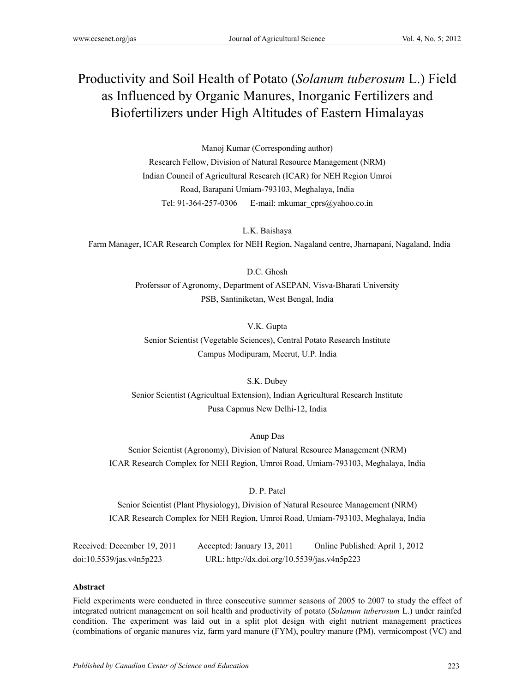# Productivity and Soil Health of Potato (*Solanum tuberosum* L.) Field as Influenced by Organic Manures, Inorganic Fertilizers and Biofertilizers under High Altitudes of Eastern Himalayas

Manoj Kumar (Corresponding author)

Research Fellow, Division of Natural Resource Management (NRM) Indian Council of Agricultural Research (ICAR) for NEH Region Umroi Road, Barapani Umiam-793103, Meghalaya, India Tel: 91-364-257-0306 E-mail: mkumar\_cprs@yahoo.co.in

L.K. Baishaya Farm Manager, ICAR Research Complex for NEH Region, Nagaland centre, Jharnapani, Nagaland, India

> D.C. Ghosh Proferssor of Agronomy, Department of ASEPAN, Visva-Bharati University PSB, Santiniketan, West Bengal, India

> > V.K. Gupta

Senior Scientist (Vegetable Sciences), Central Potato Research Institute Campus Modipuram, Meerut, U.P. India

S.K. Dubey Senior Scientist (Agricultual Extension), Indian Agricultural Research Institute Pusa Capmus New Delhi-12, India

Anup Das

Senior Scientist (Agronomy), Division of Natural Resource Management (NRM) ICAR Research Complex for NEH Region, Umroi Road, Umiam-793103, Meghalaya, India

D. P. Patel

Senior Scientist (Plant Physiology), Division of Natural Resource Management (NRM) ICAR Research Complex for NEH Region, Umroi Road, Umiam-793103, Meghalaya, India

Received: December 19, 2011 Accepted: January 13, 2011 Online Published: April 1, 2012 doi:10.5539/jas.v4n5p223 URL: http://dx.doi.org/10.5539/jas.v4n5p223

#### **Abstract**

Field experiments were conducted in three consecutive summer seasons of 2005 to 2007 to study the effect of integrated nutrient management on soil health and productivity of potato (*Solanum tuberosum* L.) under rainfed condition. The experiment was laid out in a split plot design with eight nutrient management practices (combinations of organic manures viz, farm yard manure (FYM), poultry manure (PM), vermicompost (VC) and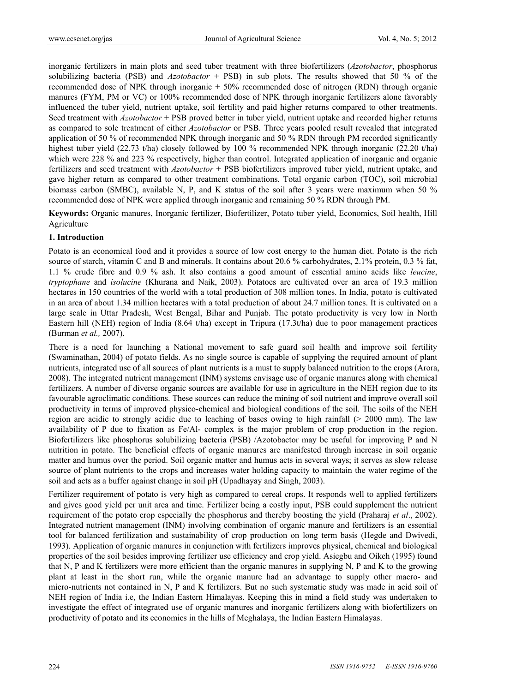inorganic fertilizers in main plots and seed tuber treatment with three biofertilizers (*Azotobactor*, phosphorus solubilizing bacteria (PSB) and *Azotobactor* + PSB) in sub plots. The results showed that 50 % of the recommended dose of NPK through inorganic + 50% recommended dose of nitrogen (RDN) through organic manures (FYM, PM or VC) or 100% recommended dose of NPK through inorganic fertilizers alone favorably influenced the tuber yield, nutrient uptake, soil fertility and paid higher returns compared to other treatments. Seed treatment with *Azotobactor* + PSB proved better in tuber yield, nutrient uptake and recorded higher returns as compared to sole treatment of either *Azotobactor* or PSB. Three years pooled result revealed that integrated application of 50 % of recommended NPK through inorganic and 50 % RDN through PM recorded significantly highest tuber yield (22.73 t/ha) closely followed by 100 % recommended NPK through inorganic (22.20 t/ha) which were 228 % and 223 % respectively, higher than control. Integrated application of inorganic and organic fertilizers and seed treatment with *Azotobactor* + PSB biofertilizers improved tuber yield, nutrient uptake, and gave higher return as compared to other treatment combinations. Total organic carbon (TOC), soil microbial biomass carbon (SMBC), available N, P, and K status of the soil after 3 years were maximum when 50 % recommended dose of NPK were applied through inorganic and remaining 50 % RDN through PM.

**Keywords:** Organic manures, Inorganic fertilizer, Biofertilizer, Potato tuber yield, Economics, Soil health, Hill Agriculture

## **1. Introduction**

Potato is an economical food and it provides a source of low cost energy to the human diet. Potato is the rich source of starch, vitamin C and B and minerals. It contains about 20.6 % carbohydrates, 2.1% protein, 0.3 % fat, 1.1 % crude fibre and 0.9 % ash. It also contains a good amount of essential amino acids like *leucine*, *tryptophane* and *isolucine* (Khurana and Naik, 2003). Potatoes are cultivated over an area of 19.3 million hectares in 150 countries of the world with a total production of 308 million tones. In India, potato is cultivated in an area of about 1.34 million hectares with a total production of about 24.7 million tones. It is cultivated on a large scale in Uttar Pradesh, West Bengal, Bihar and Punjab. The potato productivity is very low in North Eastern hill (NEH) region of India (8.64 t/ha) except in Tripura (17.3t/ha) due to poor management practices (Burman *et al.,* 2007).

There is a need for launching a National movement to safe guard soil health and improve soil fertility (Swaminathan, 2004) of potato fields. As no single source is capable of supplying the required amount of plant nutrients, integrated use of all sources of plant nutrients is a must to supply balanced nutrition to the crops (Arora, 2008). The integrated nutrient management (INM) systems envisage use of organic manures along with chemical fertilizers. A number of diverse organic sources are available for use in agriculture in the NEH region due to its favourable agroclimatic conditions. These sources can reduce the mining of soil nutrient and improve overall soil productivity in terms of improved physico-chemical and biological conditions of the soil. The soils of the NEH region are acidic to strongly acidic due to leaching of bases owing to high rainfall (> 2000 mm). The law availability of P due to fixation as Fe/Al- complex is the major problem of crop production in the region. Biofertilizers like phosphorus solubilizing bacteria (PSB) /Azotobactor may be useful for improving P and N nutrition in potato. The beneficial effects of organic manures are manifested through increase in soil organic matter and humus over the period. Soil organic matter and humus acts in several ways; it serves as slow release source of plant nutrients to the crops and increases water holding capacity to maintain the water regime of the soil and acts as a buffer against change in soil pH (Upadhayay and Singh, 2003).

Fertilizer requirement of potato is very high as compared to cereal crops. It responds well to applied fertilizers and gives good yield per unit area and time. Fertilizer being a costly input, PSB could supplement the nutrient requirement of the potato crop especially the phosphorus and thereby boosting the yield (Praharaj *et al*., 2002). Integrated nutrient management (INM) involving combination of organic manure and fertilizers is an essential tool for balanced fertilization and sustainability of crop production on long term basis (Hegde and Dwivedi, 1993). Application of organic manures in conjunction with fertilizers improves physical, chemical and biological properties of the soil besides improving fertilizer use efficiency and crop yield. Asiegbu and Oikeh (1995) found that N, P and K fertilizers were more efficient than the organic manures in supplying N, P and K to the growing plant at least in the short run, while the organic manure had an advantage to supply other macro- and micro-nutrients not contained in N, P and K fertilizers. But no such systematic study was made in acid soil of NEH region of India i.e, the Indian Eastern Himalayas. Keeping this in mind a field study was undertaken to investigate the effect of integrated use of organic manures and inorganic fertilizers along with biofertilizers on productivity of potato and its economics in the hills of Meghalaya, the Indian Eastern Himalayas.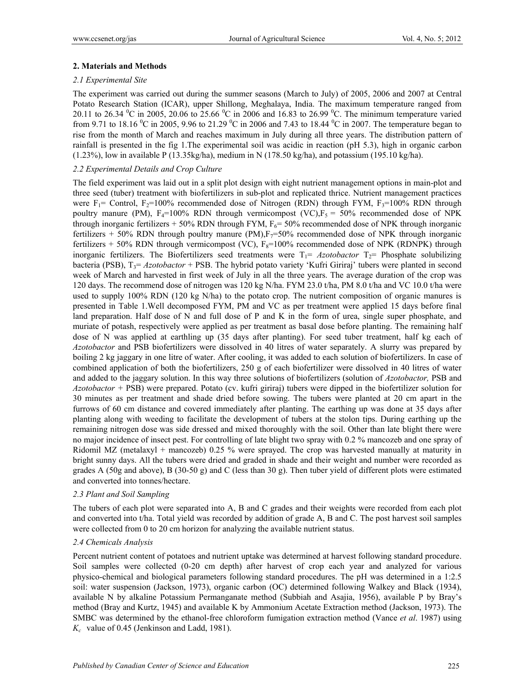# **2. Materials and Methods**

## *2.1 Experimental Site*

The experiment was carried out during the summer seasons (March to July) of 2005, 2006 and 2007 at Central Potato Research Station (ICAR), upper Shillong, Meghalaya, India. The maximum temperature ranged from 20.11 to 26.34  $^0$ C in 2005, 20.06 to 25.66  $^0$ C in 2006 and 16.83 to 26.99  $^0$ C. The minimum temperature varied from 9.71 to 18.16  $^{\circ}$ C in 2005, 9.96 to 21.29  $^{\circ}$ C in 2006 and 7.43 to 18.44  $^{\circ}$ C in 2007. The temperature began to rise from the month of March and reaches maximum in July during all three years. The distribution pattern of rainfall is presented in the fig 1.The experimental soil was acidic in reaction (pH 5.3), high in organic carbon  $(1.23\%)$ , low in available P  $(13.35\text{kg/ha})$ , medium in N  $(178.50 \text{ kg/ha})$ , and potassium  $(195.10 \text{ kg/ha})$ .

## *2.2 Experimental Details and Crop Culture*

The field experiment was laid out in a split plot design with eight nutrient management options in main-plot and three seed (tuber) treatment with biofertilizers in sub-plot and replicated thrice. Nutrient management practices were  $F_1$ = Control,  $F_2$ =100% recommended dose of Nitrogen (RDN) through FYM,  $F_3$ =100% RDN through poultry manure (PM),  $F_4=100\%$  RDN through vermicompost (VC), $F_5 = 50\%$  recommended dose of NPK through inorganic fertilizers  $+ 50\%$  RDN through FYM,  $F_6 = 50\%$  recommended dose of NPK through inorganic fertilizers + 50% RDN through poultry manure  $(PM)$ ,  $F<sub>7</sub>=50%$  recommended dose of NPK through inorganic fertilizers  $+ 50\%$  RDN through vermicompost (VC),  $F_8=100\%$  recommended dose of NPK (RDNPK) through inorganic fertilizers. The Biofertilizers seed treatments were  $T_1 = Azotobactor$   $T_2$  Phosphate solubilizing bacteria (PSB), T<sub>3</sub>= *Azotobactor* + PSB. The hybrid potato variety 'Kufri Giriraj' tubers were planted in second week of March and harvested in first week of July in all the three years. The average duration of the crop was 120 days. The recommend dose of nitrogen was 120 kg N/ha. FYM 23.0 t/ha, PM 8.0 t/ha and VC 10.0 t/ha were used to supply 100% RDN (120 kg N/ha) to the potato crop. The nutrient composition of organic manures is presented in Table 1.Well decomposed FYM, PM and VC as per treatment were applied 15 days before final land preparation. Half dose of N and full dose of P and K in the form of urea, single super phosphate, and muriate of potash, respectively were applied as per treatment as basal dose before planting. The remaining half dose of N was applied at earthling up (35 days after planting). For seed tuber treatment, half kg each of *Azotobactor* and PSB biofertilizers were dissolved in 40 litres of water separately. A slurry was prepared by boiling 2 kg jaggary in one litre of water. After cooling, it was added to each solution of biofertilizers. In case of combined application of both the biofertilizers, 250 g of each biofertilizer were dissolved in 40 litres of water and added to the jaggary solution. In this way three solutions of biofertilizers (solution of *Azotobactor,* PSB and *Azotobactor +* PSB) were prepared. Potato (cv. kufri giriraj) tubers were dipped in the biofertilizer solution for 30 minutes as per treatment and shade dried before sowing. The tubers were planted at 20 cm apart in the furrows of 60 cm distance and covered immediately after planting. The earthing up was done at 35 days after planting along with weeding to facilitate the development of tubers at the stolon tips. During earthing up the remaining nitrogen dose was side dressed and mixed thoroughly with the soil. Other than late blight there were no major incidence of insect pest. For controlling of late blight two spray with 0.2 % mancozeb and one spray of Ridomil MZ (metalaxyl + mancozeb) 0.25 % were sprayed. The crop was harvested manually at maturity in bright sunny days. All the tubers were dried and graded in shade and their weight and number were recorded as grades A (50g and above), B (30-50 g) and C (less than 30 g). Then tuber yield of different plots were estimated and converted into tonnes/hectare.

## *2.3 Plant and Soil Sampling*

The tubers of each plot were separated into A, B and C grades and their weights were recorded from each plot and converted into t/ha. Total yield was recorded by addition of grade A, B and C. The post harvest soil samples were collected from 0 to 20 cm horizon for analyzing the available nutrient status.

## *2.4 Chemicals Analysis*

Percent nutrient content of potatoes and nutrient uptake was determined at harvest following standard procedure. Soil samples were collected (0-20 cm depth) after harvest of crop each year and analyzed for various physico-chemical and biological parameters following standard procedures. The pH was determined in a 1:2.5 soil: water suspension (Jackson, 1973), organic carbon (OC) determined following Walkey and Black (1934), available N by alkaline Potassium Permanganate method (Subbiah and Asajia, 1956), available P by Bray's method (Bray and Kurtz, 1945) and available K by Ammonium Acetate Extraction method (Jackson, 1973). The SMBC was determined by the ethanol-free chloroform fumigation extraction method (Vance *et al*. 1987) using *Kc* value of 0.45 (Jenkinson and Ladd, 1981).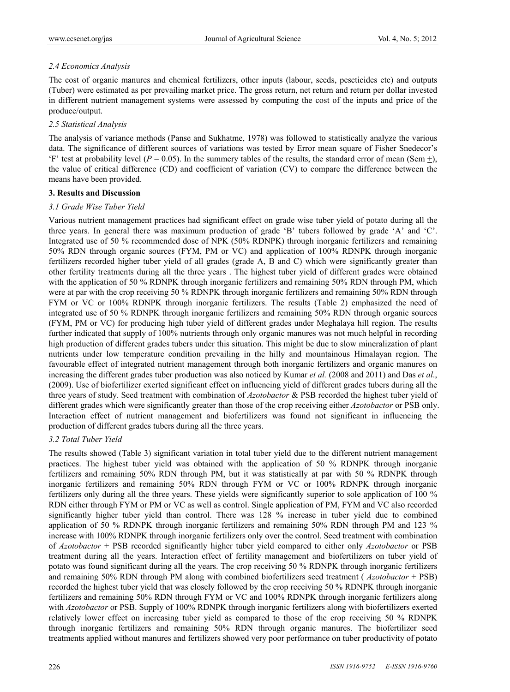# *2.4 Economics Analysis*

The cost of organic manures and chemical fertilizers, other inputs (labour, seeds, pescticides etc) and outputs (Tuber) were estimated as per prevailing market price. The gross return, net return and return per dollar invested in different nutrient management systems were assessed by computing the cost of the inputs and price of the produce/output.

# *2.5 Statistical Analysis*

The analysis of variance methods (Panse and Sukhatme, 1978) was followed to statistically analyze the various data. The significance of different sources of variations was tested by Error mean square of Fisher Snedecor's 'F' test at probability level ( $P = 0.05$ ). In the summery tables of the results, the standard error of mean (Sem  $\pm$ ), the value of critical difference (CD) and coefficient of variation (CV) to compare the difference between the means have been provided.

# **3. Results and Discussion**

# *3.1 Grade Wise Tuber Yield*

Various nutrient management practices had significant effect on grade wise tuber yield of potato during all the three years. In general there was maximum production of grade 'B' tubers followed by grade 'A' and 'C'. Integrated use of 50 % recommended dose of NPK (50% RDNPK) through inorganic fertilizers and remaining 50% RDN through organic sources (FYM, PM or VC) and application of 100% RDNPK through inorganic fertilizers recorded higher tuber yield of all grades (grade A, B and C) which were significantly greater than other fertility treatments during all the three years . The highest tuber yield of different grades were obtained with the application of 50 % RDNPK through inorganic fertilizers and remaining 50% RDN through PM, which were at par with the crop receiving 50 % RDNPK through inorganic fertilizers and remaining 50% RDN through FYM or VC or 100% RDNPK through inorganic fertilizers. The results (Table 2) emphasized the need of integrated use of 50 % RDNPK through inorganic fertilizers and remaining 50% RDN through organic sources (FYM, PM or VC) for producing high tuber yield of different grades under Meghalaya hill region. The results further indicated that supply of 100% nutrients through only organic manures was not much helpful in recording high production of different grades tubers under this situation. This might be due to slow mineralization of plant nutrients under low temperature condition prevailing in the hilly and mountainous Himalayan region. The favourable effect of integrated nutrient management through both inorganic fertilizers and organic manures on increasing the different grades tuber production was also noticed by Kumar *et al.* (2008 and 2011) and Das *et al*., (2009). Use of biofertilizer exerted significant effect on influencing yield of different grades tubers during all the three years of study. Seed treatment with combination of *Azotobactor* & PSB recorded the highest tuber yield of different grades which were significantly greater than those of the crop receiving either *Azotobactor* or PSB only. Interaction effect of nutrient management and biofertilizers was found not significant in influencing the production of different grades tubers during all the three years.

# *3.2 Total Tuber Yield*

The results showed (Table 3) significant variation in total tuber yield due to the different nutrient management practices. The highest tuber yield was obtained with the application of 50 % RDNPK through inorganic fertilizers and remaining 50% RDN through PM, but it was statistically at par with 50 % RDNPK through inorganic fertilizers and remaining 50% RDN through FYM or VC or 100% RDNPK through inorganic fertilizers only during all the three years. These yields were significantly superior to sole application of 100 % RDN either through FYM or PM or VC as well as control. Single application of PM, FYM and VC also recorded significantly higher tuber yield than control. There was 128 % increase in tuber yield due to combined application of 50 % RDNPK through inorganic fertilizers and remaining 50% RDN through PM and 123 % increase with 100% RDNPK through inorganic fertilizers only over the control. Seed treatment with combination of *Azotobactor* + PSB recorded significantly higher tuber yield compared to either only *Azotobactor* or PSB treatment during all the years. Interaction effect of fertility management and biofertilizers on tuber yield of potato was found significant during all the years. The crop receiving 50 % RDNPK through inorganic fertilizers and remaining 50% RDN through PM along with combined biofertilizers seed treatment ( *Azotobactor* + PSB) recorded the highest tuber yield that was closely followed by the crop receiving 50 % RDNPK through inorganic fertilizers and remaining 50% RDN through FYM or VC and 100% RDNPK through inorganic fertilizers along with *Azotobactor* or PSB. Supply of 100% RDNPK through inorganic fertilizers along with biofertilizers exerted relatively lower effect on increasing tuber yield as compared to those of the crop receiving 50 % RDNPK through inorganic fertilizers and remaining 50% RDN through organic manures. The biofertilizer seed treatments applied without manures and fertilizers showed very poor performance on tuber productivity of potato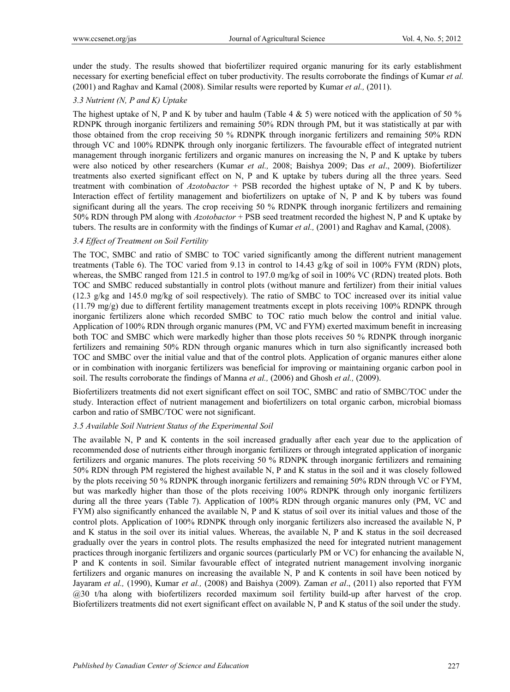under the study. The results showed that biofertilizer required organic manuring for its early establishment necessary for exerting beneficial effect on tuber productivity. The results corroborate the findings of Kumar *et al.* (2001) and Raghav and Kamal (2008). Similar results were reported by Kumar *et al.,* (2011).

## *3.3 Nutrient (N, P and K) Uptake*

The highest uptake of N, P and K by tuber and haulm (Table 4  $\&$  5) were noticed with the application of 50 % RDNPK through inorganic fertilizers and remaining 50% RDN through PM, but it was statistically at par with those obtained from the crop receiving 50 % RDNPK through inorganic fertilizers and remaining 50% RDN through VC and 100% RDNPK through only inorganic fertilizers. The favourable effect of integrated nutrient management through inorganic fertilizers and organic manures on increasing the N, P and K uptake by tubers were also noticed by other researchers (Kumar *et al.,* 2008; Baishya 2009; Das *et al*., 2009). Biofertilizer treatments also exerted significant effect on N, P and K uptake by tubers during all the three years. Seed treatment with combination of *Azotobactor* + PSB recorded the highest uptake of N, P and K by tubers. Interaction effect of fertility management and biofertilizers on uptake of N, P and K by tubers was found significant during all the years. The crop receiving 50 % RDNPK through inorganic fertilizers and remaining 50% RDN through PM along with *Azotobactor* + PSB seed treatment recorded the highest N, P and K uptake by tubers. The results are in conformity with the findings of Kumar *et al.,* (2001) and Raghav and Kamal, (2008).

## *3.4 Effect of Treatment on Soil Fertility*

The TOC, SMBC and ratio of SMBC to TOC varied significantly among the different nutrient management treatments (Table 6). The TOC varied from 9.13 in control to 14.43 g/kg of soil in 100% FYM (RDN) plots, whereas, the SMBC ranged from 121.5 in control to 197.0 mg/kg of soil in 100% VC (RDN) treated plots. Both TOC and SMBC reduced substantially in control plots (without manure and fertilizer) from their initial values (12.3 g/kg and 145.0 mg/kg of soil respectively). The ratio of SMBC to TOC increased over its initial value (11.79 mg/g) due to different fertility management treatments except in plots receiving 100% RDNPK through inorganic fertilizers alone which recorded SMBC to TOC ratio much below the control and initial value. Application of 100% RDN through organic manures (PM, VC and FYM) exerted maximum benefit in increasing both TOC and SMBC which were markedly higher than those plots receives 50 % RDNPK through inorganic fertilizers and remaining 50% RDN through organic manures which in turn also significantly increased both TOC and SMBC over the initial value and that of the control plots. Application of organic manures either alone or in combination with inorganic fertilizers was beneficial for improving or maintaining organic carbon pool in soil. The results corroborate the findings of Manna *et al.,* (2006) and Ghosh *et al.,* (2009).

Biofertilizers treatments did not exert significant effect on soil TOC, SMBC and ratio of SMBC/TOC under the study. Interaction effect of nutrient management and biofertilizers on total organic carbon, microbial biomass carbon and ratio of SMBC/TOC were not significant.

#### *3.5 Available Soil Nutrient Status of the Experimental Soil*

The available N, P and K contents in the soil increased gradually after each year due to the application of recommended dose of nutrients either through inorganic fertilizers or through integrated application of inorganic fertilizers and organic manures. The plots receiving 50 % RDNPK through inorganic fertilizers and remaining 50% RDN through PM registered the highest available N, P and K status in the soil and it was closely followed by the plots receiving 50 % RDNPK through inorganic fertilizers and remaining 50% RDN through VC or FYM, but was markedly higher than those of the plots receiving 100% RDNPK through only inorganic fertilizers during all the three years (Table 7). Application of 100% RDN through organic manures only (PM, VC and FYM) also significantly enhanced the available N, P and K status of soil over its initial values and those of the control plots. Application of 100% RDNPK through only inorganic fertilizers also increased the available N, P and K status in the soil over its initial values. Whereas, the available N, P and K status in the soil decreased gradually over the years in control plots. The results emphasized the need for integrated nutrient management practices through inorganic fertilizers and organic sources (particularly PM or VC) for enhancing the available N, P and K contents in soil. Similar favourable effect of integrated nutrient management involving inorganic fertilizers and organic manures on increasing the available N, P and K contents in soil have been noticed by Jayaram *et al.,* (1990), Kumar *et al.,* (2008) and Baishya (2009). Zaman *et al*., (2011) also reported that FYM @30 t/ha along with biofertilizers recorded maximum soil fertility build-up after harvest of the crop. Biofertilizers treatments did not exert significant effect on available N, P and K status of the soil under the study.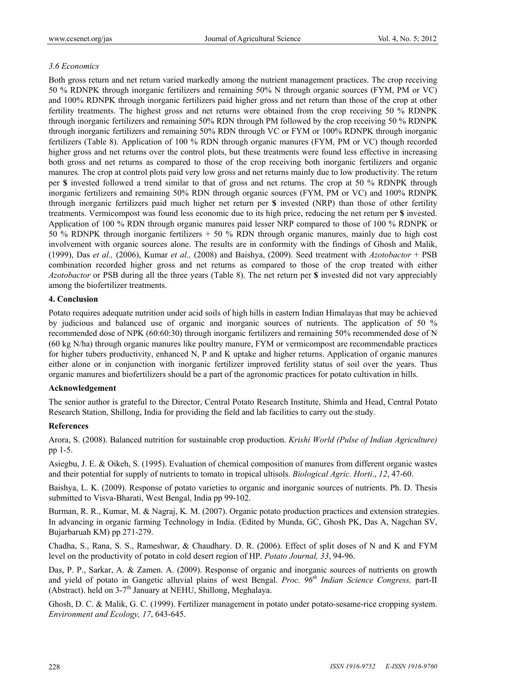## *3.6 Economics*

Both gross return and net return varied markedly among the nutrient management practices. The crop receiving 50 % RDNPK through inorganic fertilizers and remaining 50% N through organic sources (FYM, PM or VC) and 100% RDNPK through inorganic fertilizers paid higher gross and net return than those of the crop at other fertility treatments. The highest gross and net returns were obtained from the crop receiving 50 % RDNPK through inorganic fertilizers and remaining 50% RDN through PM followed by the crop receiving 50 % RDNPK through inorganic fertilizers and remaining 50% RDN through VC or FYM or 100% RDNPK through inorganic fertilizers (Table 8). Application of 100 % RDN through organic manures (FYM, PM or VC) though recorded higher gross and net returns over the control plots, but these treatments were found less effective in increasing both gross and net returns as compared to those of the crop receiving both inorganic fertilizers and organic manures. The crop at control plots paid very low gross and net returns mainly due to low productivity. The return per **\$** invested followed a trend similar to that of gross and net returns. The crop at 50 % RDNPK through inorganic fertilizers and remaining 50% RDN through organic sources (FYM, PM or VC) and 100% RDNPK through inorganic fertilizers paid much higher net return per **\$** invested (NRP) than those of other fertility treatments. Vermicompost was found less economic due to its high price, reducing the net return per **\$** invested. Application of 100 % RDN through organic manures paid lesser NRP compared to those of 100 % RDNPK or 50 % RDNPK through inorganic fertilizers + 50 % RDN through organic manures, mainly due to high cost involvement with organic sources alone. The results are in conformity with the findings of Ghosh and Malik, (1999), Das *et al.,* (2006), Kumar *et al.,* (2008) and Baishya, (2009). Seed treatment with *Azotobactor* + PSB combination recorded higher gross and net returns as compared to those of the crop treated with either *Azotobactor* or PSB during all the three years (Table 8). The net return per **\$** invested did not vary appreciably among the biofertilizer treatments.

#### **4. Conclusion**

Potato requires adequate nutrition under acid soils of high hills in eastern Indian Himalayas that may be achieved by judicious and balanced use of organic and inorganic sources of nutrients. The application of 50 % recommended dose of NPK (60:60:30) through inorganic fertilizers and remaining 50% recommended dose of N (60 kg N/ha) through organic manures like poultry manure, FYM or vermicompost are recommendable practices for higher tubers productivity, enhanced N, P and K uptake and higher returns. Application of organic manures either alone or in conjunction with inorganic fertilizer improved fertility status of soil over the years. Thus organic manures and biofertilizers should be a part of the agronomic practices for potato cultivation in hills.

## **Acknowledgement**

The senior author is grateful to the Director, Central Potato Research Institute, Shimla and Head, Central Potato Research Station, Shillong, India for providing the field and lab facilities to carry out the study.

#### **References**

Arora, S. (2008). Balanced nutrition for sustainable crop production. *Krishi World (Pulse of Indian Agriculture)*  pp 1-5.

Asiegbu, J. E. & Oikeh, S. (1995). Evaluation of chemical composition of manures from different organic wastes and their potential for supply of nutrients to tomato in tropical ultisols. *Biological Agric. Horti*., *12*, 47-60.

Baishya, L. K. (2009). Response of potato varieties to organic and inorganic sources of nutrients. Ph. D. Thesis submitted to Visva-Bharati, West Bengal, India pp 99-102.

Burman, R. R., Kumar, M. & Nagraj, K. M. (2007). Organic potato production practices and extension strategies. In advancing in organic farming Technology in India. (Edited by Munda, GC, Ghosh PK, Das A, Nagchan SV, Bujarbaruah KM) pp 271-279.

Chadha, S., Rana, S. S., Rameshwar, & Chaudhary. D. R. (2006). Effect of split doses of N and K and FYM level on the productivity of potato in cold desert region of HP. *Potato Journal, 33*, 94-96.

Das, P. P., Sarkar, A. & Zamen. A. (2009). Response of organic and inorganic sources of nutrients on growth and yield of potato in Gangetic alluvial plains of west Bengal. *Proc. 96th Indian Science Congress,* part-II (Abstract). held on  $3-7<sup>th</sup>$  January at NEHU, Shillong, Meghalaya.

Ghosh, D. C. & Malik, G. C. (1999). Fertilizer management in potato under potato-sesame-rice cropping system. *Environment and Ecology, 17*, 643-645.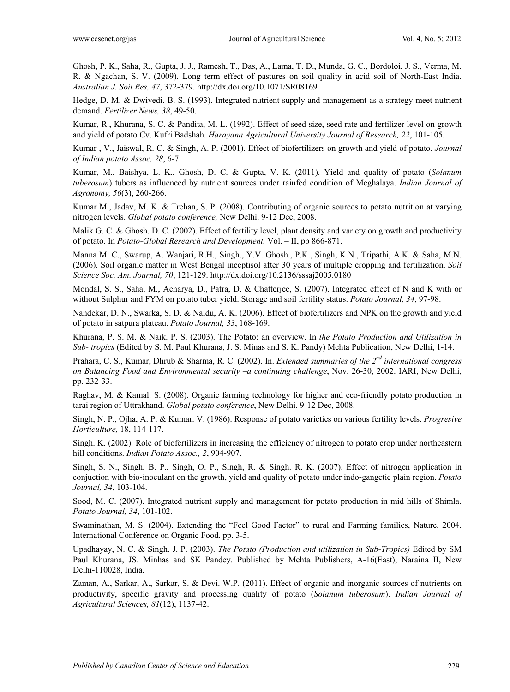Ghosh, P. K., Saha, R., Gupta, J. J., Ramesh, T., Das, A., Lama, T. D., Munda, G. C., Bordoloi, J. S., Verma, M. R. & Ngachan, S. V. (2009). Long term effect of pastures on soil quality in acid soil of North-East India. *Australian J. Soil Res, 47*, 372-379. http://dx.doi.org/10.1071/SR08169

Hedge, D. M. & Dwivedi. B. S. (1993). Integrated nutrient supply and management as a strategy meet nutrient demand. *Fertilizer News, 38*, 49-50.

Kumar, R., Khurana, S. C. & Pandita, M. L. (1992). Effect of seed size, seed rate and fertilizer level on growth and yield of potato Cv. Kufri Badshah. *Harayana Agricultural University Journal of Research, 22*, 101-105.

Kumar , V., Jaiswal, R. C. & Singh, A. P. (2001). Effect of biofertilizers on growth and yield of potato. *Journal of Indian potato Assoc, 28*, 6-7.

Kumar, M., Baishya, L. K., Ghosh, D. C. & Gupta, V. K. (2011). Yield and quality of potato (*Solanum tuberosum*) tubers as influenced by nutrient sources under rainfed condition of Meghalaya. *Indian Journal of Agronomy, 56*(3), 260-266.

Kumar M., Jadav, M. K. & Trehan, S. P. (2008). Contributing of organic sources to potato nutrition at varying nitrogen levels. *Global potato conference,* New Delhi. 9-12 Dec, 2008.

Malik G. C. & Ghosh. D. C. (2002). Effect of fertility level, plant density and variety on growth and productivity of potato. In *Potato-Global Research and Development.* Vol. – II, pp 866-871.

Manna M. C., Swarup, A. Wanjari, R.H., Singh., Y.V. Ghosh., P.K., Singh, K.N., Tripathi, A.K. & Saha, M.N. (2006). Soil organic matter in West Bengal inceptisol after 30 years of multiple cropping and fertilization. *Soil Science Soc. Am. Journal, 70*, 121-129. http://dx.doi.org/10.2136/sssaj2005.0180

Mondal, S. S., Saha, M., Acharya, D., Patra, D. & Chatterjee, S. (2007). Integrated effect of N and K with or without Sulphur and FYM on potato tuber yield. Storage and soil fertility status. *Potato Journal, 34*, 97-98.

Nandekar, D. N., Swarka, S. D. & Naidu, A. K. (2006). Effect of biofertilizers and NPK on the growth and yield of potato in satpura plateau. *Potato Journal, 33*, 168-169.

Khurana, P. S. M. & Naik. P. S. (2003). The Potato: an overview. In *the Potato Production and Utilization in Sub- tropics* (Edited by S. M. Paul Khurana, J. S. Minas and S. K. Pandy) Mehta Publication, New Delhi, 1-14.

Prahara, C. S., Kumar, Dhrub & Sharma, R. C. (2002). In. *Extended summaries of the 2nd international congress on Balancing Food and Environmental security –a continuing challenge*, Nov. 26-30, 2002. IARI, New Delhi, pp. 232-33.

Raghav, M. & Kamal. S. (2008). Organic farming technology for higher and eco-friendly potato production in tarai region of Uttrakhand. *Global potato conference*, New Delhi. 9-12 Dec, 2008.

Singh, N. P., Ojha, A. P. & Kumar. V. (1986). Response of potato varieties on various fertility levels. *Progresive Horticulture,* 18, 114-117.

Singh. K. (2002). Role of biofertilizers in increasing the efficiency of nitrogen to potato crop under northeastern hill conditions. *Indian Potato Assoc., 2*, 904-907.

Singh, S. N., Singh, B. P., Singh, O. P., Singh, R. & Singh. R. K. (2007). Effect of nitrogen application in conjuction with bio-inoculant on the growth, yield and quality of potato under indo-gangetic plain region. *Potato Journal, 34*, 103-104.

Sood, M. C. (2007). Integrated nutrient supply and management for potato production in mid hills of Shimla. *Potato Journal, 34*, 101-102.

Swaminathan, M. S. (2004). Extending the "Feel Good Factor" to rural and Farming families, Nature, 2004. International Conference on Organic Food. pp. 3-5.

Upadhayay, N. C. & Singh. J. P. (2003). *The Potato (Production and utilization in Sub-Tropics)* Edited by SM Paul Khurana, JS. Minhas and SK Pandey. Published by Mehta Publishers, A-16(East), Naraina II, New Delhi-110028, India.

Zaman, A., Sarkar, A., Sarkar, S. & Devi. W.P. (2011). Effect of organic and inorganic sources of nutrients on productivity, specific gravity and processing quality of potato (*Solanum tuberosum*). *Indian Journal of Agricultural Sciences, 81*(12), 1137-42.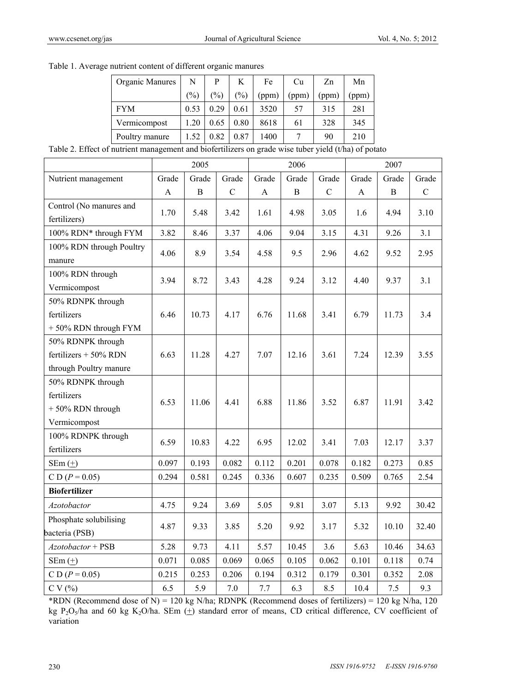| Organic Manures                                                                            | N    | P             | K             | Fe    | Cu    | Zn    | Mn    |
|--------------------------------------------------------------------------------------------|------|---------------|---------------|-------|-------|-------|-------|
|                                                                                            | (%)  | $\frac{1}{2}$ | $\frac{1}{2}$ | (ppm) | (ppm) | (ppm) | (ppm) |
| <b>FYM</b>                                                                                 | 0.53 | 0.29          | 0.61          | 3520  | 57    | 315   | 281   |
| Vermicompost                                                                               | 1.20 | 0.65          | 0.80          | 8618  | 61    | 328   | 345   |
| Poultry manure                                                                             | 1.52 | 0.82          | 0.87          | 1400  |       | 90    | 210   |
| $\epsilon$ putrient management and biofertilizers on grade wise tuber vield $(t/ha)$ of no |      |               |               |       |       |       |       |

Table 1. Average nutrient content of different organic manures

Table 2. Effect of nutrient management and biofertilizers on grade wise tuber yield (t/ha) of potato

|                          |              | 2005         |               |              | 2006         |             |              | 2007        |             |
|--------------------------|--------------|--------------|---------------|--------------|--------------|-------------|--------------|-------------|-------------|
| Nutrient management      | Grade        | Grade        | Grade         | Grade        | Grade        | Grade       | Grade        | Grade       | Grade       |
|                          | $\mathbf{A}$ | $\, {\bf B}$ | $\mathcal{C}$ | $\mathbf{A}$ | $\, {\bf B}$ | $\mathsf C$ | $\mathbf{A}$ | $\mathbf B$ | $\mathbf C$ |
| Control (No manures and  |              |              |               |              |              |             |              |             | 3.10        |
| fertilizers)             | 1.70         | 5.48         | 3.42          | 1.61         | 4.98         | 3.05        | 1.6          | 4.94        |             |
| 100% RDN* through FYM    | 3.82         | 8.46         | 3.37          | 4.06         | 9.04         | 3.15        | 4.31         | 9.26        | 3.1         |
| 100% RDN through Poultry | 4.06         | 8.9          | 3.54          | 4.58         | 9.5          | 2.96        | 4.62         | 9.52        | 2.95        |
| manure                   |              |              |               |              |              |             |              |             |             |
| 100% RDN through         | 3.94         | 8.72         | 3.43          | 4.28         | 9.24         | 3.12        | 4.40         | 9.37        | 3.1         |
| Vermicompost             |              |              |               |              |              |             |              |             |             |
| 50% RDNPK through        |              |              |               |              |              |             |              |             |             |
| fertilizers              | 6.46         | 10.73        | 4.17          | 6.76         | 11.68        | 3.41        | 6.79         | 11.73       | 3.4         |
| +50% RDN through FYM     |              |              |               |              |              |             |              |             |             |
| 50% RDNPK through        |              |              |               |              |              |             |              |             |             |
| fertilizers $+50\%$ RDN  | 6.63         | 11.28        | 4.27          | 7.07         | 12.16        | 3.61        | 7.24         | 12.39       | 3.55        |
| through Poultry manure   |              |              |               |              |              |             |              |             |             |
| 50% RDNPK through        |              |              |               |              |              |             |              |             |             |
| fertilizers              | 6.53         | 11.06        | 4.41          | 6.88         | 11.86        | 3.52        | 6.87         | 11.91       | 3.42        |
| $+50\%$ RDN through      |              |              |               |              |              |             |              |             |             |
| Vermicompost             |              |              |               |              |              |             |              |             |             |
| 100% RDNPK through       | 6.59         | 10.83        | 4.22          | 6.95         | 12.02        | 3.41        | 7.03         | 12.17       | 3.37        |
| fertilizers              |              |              |               |              |              |             |              |             |             |
| $SEm(\pm)$               | 0.097        | 0.193        | 0.082         | 0.112        | 0.201        | 0.078       | 0.182        | 0.273       | 0.85        |
| $CD (P = 0.05)$          | 0.294        | 0.581        | 0.245         | 0.336        | 0.607        | 0.235       | 0.509        | 0.765       | 2.54        |
| <b>Biofertilizer</b>     |              |              |               |              |              |             |              |             |             |
| Azotobactor              | 4.75         | 9.24         | 3.69          | 5.05         | 9.81         | 3.07        | 5.13         | 9.92        | 30.42       |
| Phosphate solubilising   | 4.87         | 9.33         | 3.85          | 5.20         | 9.92         | 3.17        | 5.32         | 10.10       | 32.40       |
| bacteria (PSB)           |              |              |               |              |              |             |              |             |             |
| Azotobactor + PSB        | 5.28         | 9.73         | 4.11          | 5.57         | 10.45        | 3.6         | 5.63         | 10.46       | 34.63       |
| $SEm (+)$                | 0.071        | 0.085        | 0.069         | 0.065        | 0.105        | 0.062       | 0.101        | 0.118       | 0.74        |
| $CD (P = 0.05)$          | 0.215        | 0.253        | 0.206         | 0.194        | 0.312        | 0.179       | 0.301        | 0.352       | 2.08        |
| CV(%)                    | 6.5          | 5.9          | 7.0           | 7.7          | 6.3          | 8.5         | 10.4         | 7.5         | 9.3         |

\*RDN (Recommend dose of N) = 120 kg N/ha; RDNPK (Recommend doses of fertilizers) = 120 kg N/ha, 120 kg P<sub>2</sub>O<sub>5</sub>/ha and 60 kg K<sub>2</sub>O/ha. SEm  $(+)$  standard error of means, CD critical difference, CV coefficient of variation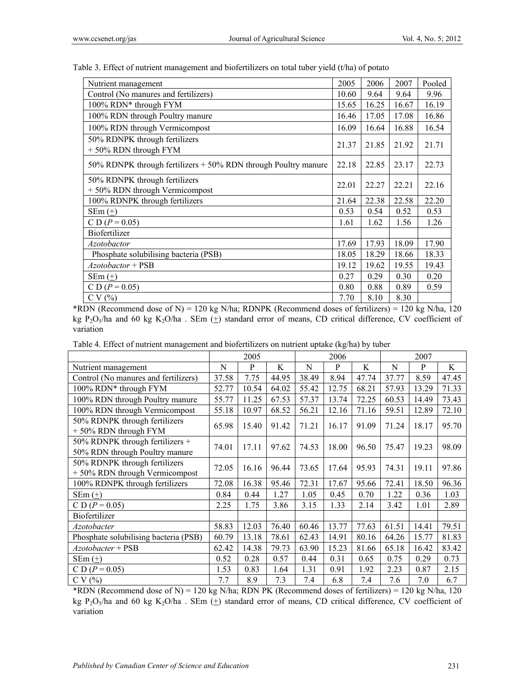| Nutrient management                                              | 2005  | 2006  | 2007  | Pooled |
|------------------------------------------------------------------|-------|-------|-------|--------|
| Control (No manures and fertilizers)                             | 10.60 | 9.64  | 9.64  | 9.96   |
| 100% RDN* through FYM                                            | 15.65 | 16.25 | 16.67 | 16.19  |
| 100% RDN through Poultry manure                                  | 16.46 | 17.05 | 17.08 | 16.86  |
| 100% RDN through Vermicompost                                    | 16.09 | 16.64 | 16.88 | 16.54  |
| 50% RDNPK through fertilizers<br>+50% RDN through FYM            | 21.37 | 21.85 | 21.92 | 21.71  |
| 50% RDNPK through fertilizers $+$ 50% RDN through Poultry manure | 22.18 | 22.85 | 23.17 | 22.73  |
| 50% RDNPK through fertilizers<br>+ 50% RDN through Vermicompost  | 22.01 | 22.27 | 22.21 | 22.16  |
| 100% RDNPK through fertilizers                                   | 21.64 | 22.38 | 22.58 | 22.20  |
| $SEm(\pm)$                                                       | 0.53  | 0.54  | 0.52  | 0.53   |
| C D $(P = 0.05)$                                                 | 1.61  | 1.62  | 1.56  | 1.26   |
| Biofertilizer                                                    |       |       |       |        |
| <i>Azotobactor</i>                                               | 17.69 | 17.93 | 18.09 | 17.90  |
| Phosphate solubilising bacteria (PSB)                            | 18.05 | 18.29 | 18.66 | 18.33  |
| Azotobactor + PSB                                                | 19.12 | 19.62 | 19.55 | 19.43  |
| $SEm(\pm)$                                                       | 0.27  | 0.29  | 0.30  | 0.20   |
| C D $(P = 0.05)$                                                 | 0.80  | 0.88  | 0.89  | 0.59   |
| CV(%)                                                            | 7.70  | 8.10  | 8.30  |        |

Table 3. Effect of nutrient management and biofertilizers on total tuber yield (t/ha) of potato

\*RDN (Recommend dose of N) = 120 kg N/ha; RDNPK (Recommend doses of fertilizers) = 120 kg N/ha, 120 kg P<sub>2</sub>O<sub>5</sub>/ha and 60 kg K<sub>2</sub>O/ha. SEm  $(+)$  standard error of means, CD critical difference, CV coefficient of variation

| Table 4. Effect of nutrient management and biofertilizers on nutrient uptake (kg/ha) by tuber |  |  |
|-----------------------------------------------------------------------------------------------|--|--|
|                                                                                               |  |  |

|                                                                   |       | 2005  |       |       | 2006  |       |       | 2007  |       |
|-------------------------------------------------------------------|-------|-------|-------|-------|-------|-------|-------|-------|-------|
| Nutrient management                                               | N     | P     | K     | N     | P     | K     | N     | P     | K     |
| Control (No manures and fertilizers)                              | 37.58 | 7.75  | 44.95 | 38.49 | 8.94  | 47.74 | 37.77 | 8.59  | 47.45 |
| 100% RDN* through FYM                                             | 52.77 | 10.54 | 64.02 | 55.42 | 12.75 | 68.21 | 57.93 | 13.29 | 71.33 |
| 100% RDN through Poultry manure                                   | 55.77 | 11.25 | 67.53 | 57.37 | 13.74 | 72.25 | 60.53 | 14.49 | 73.43 |
| 100% RDN through Vermicompost                                     | 55.18 | 10.97 | 68.52 | 56.21 | 12.16 | 71.16 | 59.51 | 12.89 | 72.10 |
| 50% RDNPK through fertilizers<br>+50% RDN through FYM             | 65.98 | 15.40 | 91.42 | 71.21 | 16.17 | 91.09 | 71.24 | 18.17 | 95.70 |
| 50% RDNPK through fertilizers +<br>50% RDN through Poultry manure | 74.01 | 17.11 | 97.62 | 74.53 | 18.00 | 96.50 | 75.47 | 19.23 | 98.09 |
| 50% RDNPK through fertilizers<br>+50% RDN through Vermicompost    | 72.05 | 16.16 | 96.44 | 73.65 | 17.64 | 95.93 | 74.31 | 19.11 | 97.86 |
| 100% RDNPK through fertilizers                                    | 72.08 | 16.38 | 95.46 | 72.31 | 17.67 | 95.66 | 72.41 | 18.50 | 96.36 |
| $SEm(\pm)$                                                        | 0.84  | 0.44  | 1.27  | 1.05  | 0.45  | 0.70  | 1.22  | 0.36  | 1.03  |
| C D ( $P = 0.05$ )                                                | 2.25  | 1.75  | 3.86  | 3.15  | 1.33  | 2.14  | 3.42  | 1.01  | 2.89  |
| Biofertilizer                                                     |       |       |       |       |       |       |       |       |       |
| Azotobacter                                                       | 58.83 | 12.03 | 76.40 | 60.46 | 13.77 | 77.63 | 61.51 | 14.41 | 79.51 |
| Phosphate solubilising bacteria (PSB)                             | 60.79 | 13.18 | 78.61 | 62.43 | 14.91 | 80.16 | 64.26 | 15.77 | 81.83 |
| Azotobacter + PSB                                                 | 62.42 | 14.38 | 79.73 | 63.90 | 15.23 | 81.66 | 65.18 | 16.42 | 83.42 |
| $SEm(\pm)$                                                        | 0.52  | 0.28  | 0.57  | 0.44  | 0.31  | 0.65  | 0.75  | 0.29  | 0.73  |
| C D ( $P = 0.05$ )                                                | 1.53  | 0.83  | 1.64  | 1.31  | 0.91  | 1.92  | 2.23  | 0.87  | 2.15  |
| CV(%)                                                             | 7.7   | 8.9   | 7.3   | 7.4   | 6.8   | 7.4   | 7.6   | 7.0   | 6.7   |

\*RDN (Recommend dose of N) = 120 kg N/ha; RDN PK (Recommend doses of fertilizers) = 120 kg N/ha, 120 kg P<sub>2</sub>O<sub>5</sub>/ha and 60 kg K<sub>2</sub>O/ha . SEm ( $\pm$ ) standard error of means, CD critical difference, CV coefficient of variation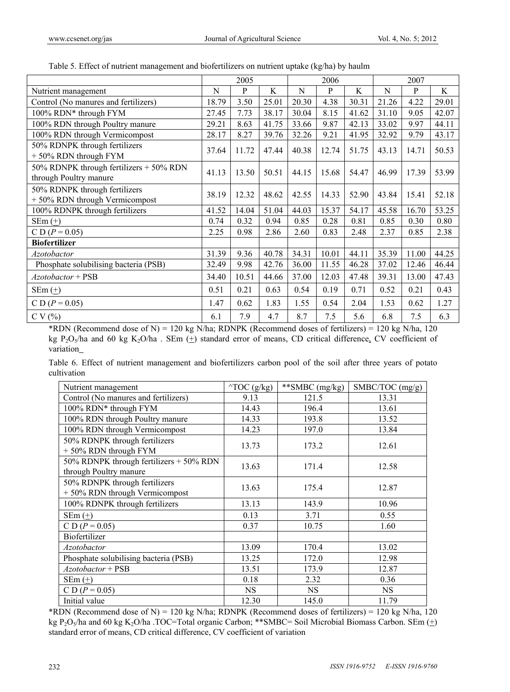|                                                                   |       | 2005  |       |       | 2006  |       |       | 2007  |       |
|-------------------------------------------------------------------|-------|-------|-------|-------|-------|-------|-------|-------|-------|
| Nutrient management                                               | N     | P     | K     | N     | P     | K     | N     | P     | K     |
| Control (No manures and fertilizers)                              | 18.79 | 3.50  | 25.01 | 20.30 | 4.38  | 30.31 | 21.26 | 4.22  | 29.01 |
| 100% RDN* through FYM                                             | 27.45 | 7.73  | 38.17 | 30.04 | 8.15  | 41.62 | 31.10 | 9.05  | 42.07 |
| 100% RDN through Poultry manure                                   | 29.21 | 8.63  | 41.75 | 33.66 | 9.87  | 42.13 | 33.02 | 9.97  | 44.11 |
| 100% RDN through Vermicompost                                     | 28.17 | 8.27  | 39.76 | 32.26 | 9.21  | 41.95 | 32.92 | 9.79  | 43.17 |
| 50% RDNPK through fertilizers<br>+50% RDN through FYM             | 37.64 | 11.72 | 47.44 | 40.38 | 12.74 | 51.75 | 43.13 | 14.71 | 50.53 |
| 50% RDNPK through fertilizers + 50% RDN<br>through Poultry manure | 41.13 | 13.50 | 50.51 | 44.15 | 15.68 | 54.47 | 46.99 | 17.39 | 53.99 |
| 50% RDNPK through fertilizers<br>+50% RDN through Vermicompost    | 38.19 | 12.32 | 48.62 | 42.55 | 14.33 | 52.90 | 43.84 | 15.41 | 52.18 |
| 100% RDNPK through fertilizers                                    | 41.52 | 14.04 | 51.04 | 44.03 | 15.37 | 54.17 | 45.58 | 16.70 | 53.25 |
| $SEm (+)$                                                         | 0.74  | 0.32  | 0.94  | 0.85  | 0.28  | 0.81  | 0.85  | 0.30  | 0.80  |
| $CD (P = 0.05)$                                                   | 2.25  | 0.98  | 2.86  | 2.60  | 0.83  | 2.48  | 2.37  | 0.85  | 2.38  |
| <b>Biofertilizer</b>                                              |       |       |       |       |       |       |       |       |       |
| <i>Azotobactor</i>                                                | 31.39 | 9.36  | 40.78 | 34.31 | 10.01 | 44.11 | 35.39 | 11.00 | 44.25 |
| Phosphate solubilising bacteria (PSB)                             | 32.49 | 9.98  | 42.76 | 36.00 | 11.55 | 46.28 | 37.02 | 12.46 | 46.44 |
| $A$ zotobactor + PSB                                              | 34.40 | 10.51 | 44.66 | 37.00 | 12.03 | 47.48 | 39.31 | 13.00 | 47.43 |
| $SEm(\pm)$                                                        | 0.51  | 0.21  | 0.63  | 0.54  | 0.19  | 0.71  | 0.52  | 0.21  | 0.43  |
| C D $(P = 0.05)$                                                  | 1.47  | 0.62  | 1.83  | 1.55  | 0.54  | 2.04  | 1.53  | 0.62  | 1.27  |
| CV(%)                                                             | 6.1   | 7.9   | 4.7   | 8.7   | 7.5   | 5.6   | 6.8   | 7.5   | 6.3   |

|  | Table 5. Effect of nutrient management and biofertilizers on nutrient uptake (kg/ha) by haulm |  |  |
|--|-----------------------------------------------------------------------------------------------|--|--|
|  |                                                                                               |  |  |

\*RDN (Recommend dose of N) = 120 kg N/ha; RDNPK (Recommend doses of fertilizers) = 120 kg N/ha, 120 kg P<sub>2</sub>O<sub>5</sub>/ha and 60 kg K<sub>2</sub>O/ha . SEm  $(+)$  standard error of means, CD critical difference, CV coefficient of variation

Table 6. Effect of nutrient management and biofertilizers carbon pool of the soil after three years of potato cultivation

| Nutrient management                                               | $\triangle$ TOC (g/kg) | **SMBC (mg/kg) | SMBC/TOC (mg/g) |
|-------------------------------------------------------------------|------------------------|----------------|-----------------|
| Control (No manures and fertilizers)                              | 9.13                   | 121.5          | 13.31           |
| 100% RDN* through FYM                                             | 14.43                  | 196.4          | 13.61           |
| 100% RDN through Poultry manure                                   | 14.33                  | 193.8          | 13.52           |
| 100% RDN through Vermicompost                                     | 14.23                  | 197.0          | 13.84           |
| 50% RDNPK through fertilizers<br>+50% RDN through FYM             | 13.73                  | 173.2          | 12.61           |
| 50% RDNPK through fertilizers + 50% RDN<br>through Poultry manure | 13.63                  | 171.4          | 12.58           |
| 50% RDNPK through fertilizers<br>+50% RDN through Vermicompost    | 13.63                  | 175.4          | 12.87           |
| 100% RDNPK through fertilizers                                    | 13.13                  | 143.9          | 10.96           |
| $SEm(\pm)$                                                        | 0.13                   | 3.71           | 0.55            |
| C D ( $P = 0.05$ )                                                | 0.37                   | 10.75          | 1.60            |
| Biofertilizer                                                     |                        |                |                 |
| Azotobactor                                                       | 13.09                  | 170.4          | 13.02           |
| Phosphate solubilising bacteria (PSB)                             | 13.25                  | 172.0          | 12.98           |
| Azotobactor + PSB                                                 | 13.51                  | 173.9          | 12.87           |
| SEm $(\pm)$                                                       | 0.18                   | 2.32           | 0.36            |
| C D ( $P = 0.05$ )                                                | <b>NS</b>              | <b>NS</b>      | <b>NS</b>       |
| Initial value                                                     | 12.30                  | 145.0          | 11.79           |

\*RDN (Recommend dose of N) = 120 kg N/ha; RDNPK (Recommend doses of fertilizers) = 120 kg N/ha, 120 kg P<sub>2</sub>O<sub>5</sub>/ha and 60 kg K<sub>2</sub>O/ha .TOC=Total organic Carbon; \*\*SMBC= Soil Microbial Biomass Carbon. SEm  $(+)$ standard error of means, CD critical difference, CV coefficient of variation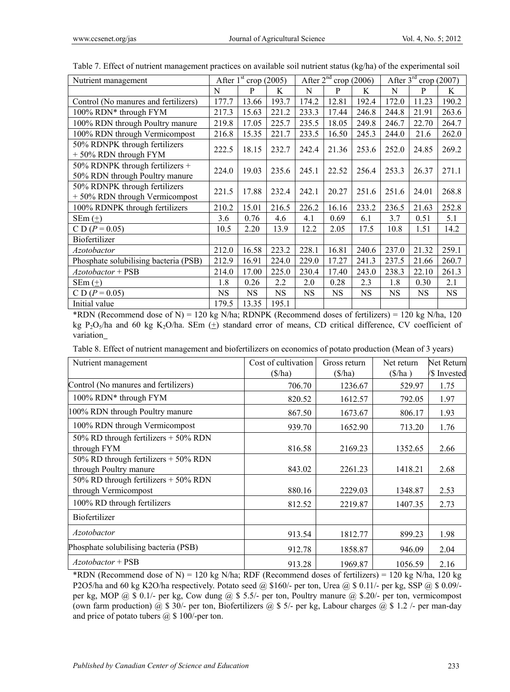| Nutrient management                                                 |           | After $1st$ crop (2005) |           | After $2^{nd}$<br>crop (2006) |           |       | After $3rd$<br>crop (2007) |           |       |
|---------------------------------------------------------------------|-----------|-------------------------|-----------|-------------------------------|-----------|-------|----------------------------|-----------|-------|
|                                                                     | N         | P                       | K         | N                             | P         | K     | N                          | P         | K     |
| Control (No manures and fertilizers)                                | 177.7     | 13.66                   | 193.7     | 174.2                         | 12.81     | 192.4 | 172.0                      | 11.23     | 190.2 |
| 100% RDN* through FYM                                               | 217.3     | 15.63                   | 221.2     | 233.3                         | 17.44     | 246.8 | 244.8                      | 21.91     | 263.6 |
| 100% RDN through Poultry manure                                     | 219.8     | 17.05                   | 225.7     | 235.5                         | 18.05     | 249.8 | 246.7                      | 22.70     | 264.7 |
| 100% RDN through Vermicompost                                       | 216.8     | 15.35                   | 221.7     | 233.5                         | 16.50     | 245.3 | 244.0                      | 21.6      | 262.0 |
| 50% RDNPK through fertilizers<br>+50% RDN through FYM               | 222.5     | 18.15                   | 232.7     | 242.4                         | 21.36     | 253.6 | 252.0                      | 24.85     | 269.2 |
| 50% RDNPK through fertilizers $+$<br>50% RDN through Poultry manure | 224.0     | 19.03                   | 235.6     | 245.1                         | 22.52     | 256.4 | 253.3                      | 26.37     | 271.1 |
| 50% RDNPK through fertilizers<br>+50% RDN through Vermicompost      | 221.5     | 17.88                   | 232.4     | 242.1                         | 20.27     | 251.6 | 251.6                      | 24.01     | 268.8 |
| 100% RDNPK through fertilizers                                      | 210.2     | 15.01                   | 216.5     | 226.2                         | 16.16     | 233.2 | 236.5                      | 21.63     | 252.8 |
| $SEm (+)$                                                           | 3.6       | 0.76                    | 4.6       | 4.1                           | 0.69      | 6.1   | 3.7                        | 0.51      | 5.1   |
| C D ( $P = 0.05$ )                                                  | 10.5      | 2.20                    | 13.9      | 12.2                          | 2.05      | 17.5  | 10.8                       | 1.51      | 14.2  |
| Biofertilizer                                                       |           |                         |           |                               |           |       |                            |           |       |
| <b>Azotobactor</b>                                                  | 212.0     | 16.58                   | 223.2     | 228.1                         | 16.81     | 240.6 | 237.0                      | 21.32     | 259.1 |
| Phosphate solubilising bacteria (PSB)                               | 212.9     | 16.91                   | 224.0     | 229.0                         | 17.27     | 241.3 | 237.5                      | 21.66     | 260.7 |
| Azotobactor + PSB                                                   | 214.0     | 17.00                   | 225.0     | 230.4                         | 17.40     | 243.0 | 238.3                      | 22.10     | 261.3 |
| $SEm(\pm)$                                                          | 1.8       | 0.26                    | 2.2       | 2.0                           | 0.28      | 2.3   | 1.8                        | 0.30      | 2.1   |
| C D $(P = 0.05)$                                                    | <b>NS</b> | <b>NS</b>               | <b>NS</b> | <b>NS</b>                     | <b>NS</b> | NS.   | <b>NS</b>                  | <b>NS</b> | NS    |
| Initial value                                                       | 179.5     | 13.35                   | 195.1     |                               |           |       |                            |           |       |

Table 7. Effect of nutrient management practices on available soil nutrient status (kg/ha) of the experimental soil

\*RDN (Recommend dose of N) = 120 kg N/ha; RDNPK (Recommend doses of fertilizers) = 120 kg N/ha, 120 kg P<sub>2</sub>O<sub>5</sub>/ha and 60 kg K<sub>2</sub>O/ha. SEm  $(+)$  standard error of means, CD critical difference, CV coefficient of variation

Table 8. Effect of nutrient management and biofertilizers on economics of potato production (Mean of 3 years)

| Nutrient management                                              | Cost of cultivation<br>$(\frac{\pi}{a})$ | Gross return<br>$(\frac{\pi}{a})$ | Net return<br>$(\frac{\pi}{a})$ | Net Return<br>/\$ Invested |
|------------------------------------------------------------------|------------------------------------------|-----------------------------------|---------------------------------|----------------------------|
| Control (No manures and fertilizers)                             | 706.70                                   | 1236.67                           | 529.97                          | 1.75                       |
| 100% RDN* through FYM                                            | 820.52                                   | 1612.57                           | 792.05                          | 1.97                       |
| 100% RDN through Poultry manure                                  | 867.50                                   | 1673.67                           | 806.17                          | 1.93                       |
| 100% RDN through Vermicompost                                    | 939.70                                   | 1652.90                           | 713.20                          | 1.76                       |
| $50\%$ RD through fertilizers $+50\%$ RDN<br>through FYM         | 816.58                                   | 2169.23                           | 1352.65                         | 2.66                       |
| 50% RD through fertilizers $+$ 50% RDN<br>through Poultry manure | 843.02                                   | 2261.23                           | 1418.21                         | 2.68                       |
| 50% RD through fertilizers + 50% RDN<br>through Vermicompost     | 880.16                                   | 2229.03                           | 1348.87                         | 2.53                       |
| 100% RD through fertilizers                                      | 812.52                                   | 2219.87                           | 1407.35                         | 2.73                       |
| Biofertilizer                                                    |                                          |                                   |                                 |                            |
| <i>Azotobactor</i>                                               | 913.54                                   | 1812.77                           | 899.23                          | 1.98                       |
| Phosphate solubilising bacteria (PSB)                            | 912.78                                   | 1858.87                           | 946.09                          | 2.04                       |
| $A$ zotobactor + PSB                                             | 913.28                                   | 1969.87                           | 1056.59                         | 2.16                       |

\*RDN (Recommend dose of N) = 120 kg N/ha; RDF (Recommend doses of fertilizers) = 120 kg N/ha, 120 kg P2O5/ha and 60 kg K2O/ha respectively. Potato seed @ \$160/- per ton, Urea @ \$ 0.11/- per kg, SSP @ \$ 0.09/per kg, MOP @ \$ 0.1/- per kg, Cow dung @ \$ 5.5/- per ton, Poultry manure @ \$.20/- per ton, vermicompost (own farm production)  $\hat{\omega}$  \$ 30/- per ton, Biofertilizers  $\hat{\omega}$  \$ 5/- per kg, Labour charges  $\hat{\omega}$  \$ 1.2 /- per man-day and price of potato tubers  $(a)$  \$ 100/-per ton.